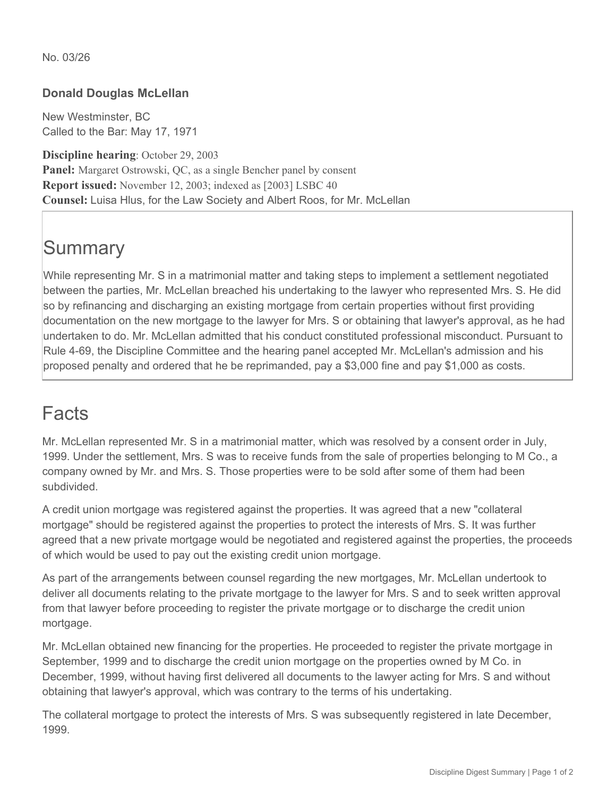## **Donald Douglas McLellan**

New Westminster, BC Called to the Bar: May 17, 1971

**Discipline hearing**: October 29, 2003 **Panel:** Margaret Ostrowski, QC, as a single Bencher panel by consent **Report issued:** November 12, 2003; indexed as [2003] LSBC 40 **Counsel:** Luisa Hlus, for the Law Society and Albert Roos, for Mr. McLellan

## **Summary**

While representing Mr. S in a matrimonial matter and taking steps to implement a settlement negotiated between the parties, Mr. McLellan breached his undertaking to the lawyer who represented Mrs. S. He did so by refinancing and discharging an existing mortgage from certain properties without first providing documentation on the new mortgage to the lawyer for Mrs. S or obtaining that lawyer's approval, as he had undertaken to do. Mr. McLellan admitted that his conduct constituted professional misconduct. Pursuant to Rule 4-69, the Discipline Committee and the hearing panel accepted Mr. McLellan's admission and his proposed penalty and ordered that he be reprimanded, pay a \$3,000 fine and pay \$1,000 as costs.

## Facts

Mr. McLellan represented Mr. S in a matrimonial matter, which was resolved by a consent order in July, 1999. Under the settlement, Mrs. S was to receive funds from the sale of properties belonging to M Co., a company owned by Mr. and Mrs. S. Those properties were to be sold after some of them had been subdivided.

A credit union mortgage was registered against the properties. It was agreed that a new "collateral mortgage" should be registered against the properties to protect the interests of Mrs. S. It was further agreed that a new private mortgage would be negotiated and registered against the properties, the proceeds of which would be used to pay out the existing credit union mortgage.

As part of the arrangements between counsel regarding the new mortgages, Mr. McLellan undertook to deliver all documents relating to the private mortgage to the lawyer for Mrs. S and to seek written approval from that lawyer before proceeding to register the private mortgage or to discharge the credit union mortgage.

Mr. McLellan obtained new financing for the properties. He proceeded to register the private mortgage in September, 1999 and to discharge the credit union mortgage on the properties owned by M Co. in December, 1999, without having first delivered all documents to the lawyer acting for Mrs. S and without obtaining that lawyer's approval, which was contrary to the terms of his undertaking.

The collateral mortgage to protect the interests of Mrs. S was subsequently registered in late December, 1999.